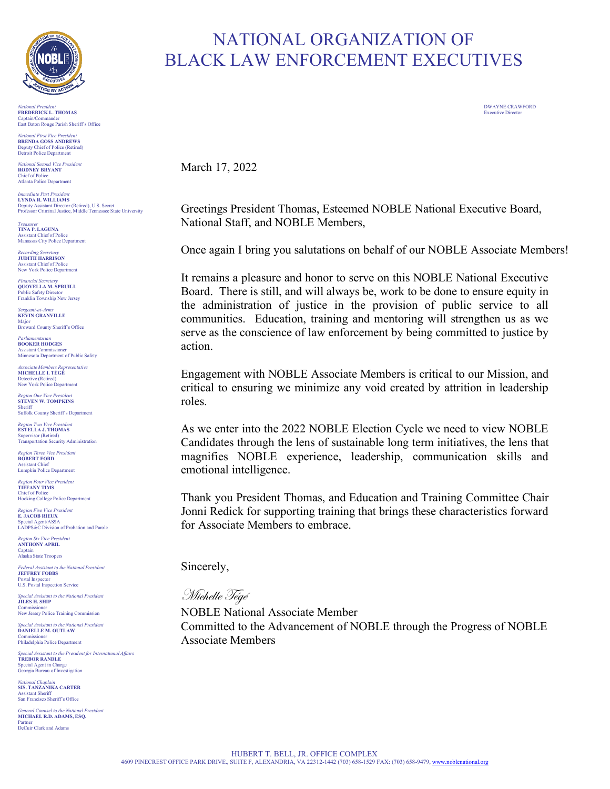

*National President* DWAYNE CRAWFORD **FREDERICK L. THOMAS** Executive Director Captain/Commander East Baton Rouge Parish Sheriff's Office

*National First Vice President* **BRENDA GOSS ANDREWS** Deputy Chief of Police (Retired) Detroit Police Department

*National Second Vice President*  **RODNEY BRYANT** Chief of Police Atlanta Police Department

*Immediate Past President* **LYNDA R. WILLIAMS** Deputy Assistant Director (Retired), U.S. Secret Professor Criminal Justice, Middle Tennessee State University

*Treasurer* **TINA P. LAGUNA** Assistant Chief of Police Manassas City Police Department

*Recording Secretary* **JUDITH HARRISON** Assistant Chief of Police New York Police Department

*Financial Secretary* **QUOVELLA M. SPRUILL** Public Safety Director Franklin Township New Jersey

*Sergeant-at-Arms* **KEVIN GRANVILLE** Major Broward County Sheriff's Office

*Parliamentarian* **BOOKER HODGES** Assistant Commissioner Minnesota Department of Public Safety

*Associate Members Representative* **MICHELLE I. TÉGÉ** Detective (Retired) New York Police Department

*Region One Vice President* **STEVEN W. TOMPKINS** Sheriff Suffolk County Sheriff's Department

**Region Two Vice President ESTELLA J. THOMAS**

Supervisor (Retired) Transportation Security Administration

*Region Three Vice President*  **ROBERT FORD** Assistant Chief Lumpkin Police Department

*Region Four Vice President* **TIFFANY TIMS** Chief of Police Hocking College Police Department

*Region Five Vice President*  **E. JACOB RIEUX** Special Agent/ASSA LADPS&C Division of Probation and Parole

*Region Six Vice President* **ANTHONY APRIL** Captain Alaska State Troopers

*Federal Assistant to the National President* **JEFFREY FOBBS** Postal Inspector U.S. Postal Inspection Service

*Special Assistant to the National President* **JILES H. SHIP** Commissioner New Jersey Police Training Commission

*Special Assistant to the National President* **DANIELLE M. OUTLAW** Commissioner Philadelphia Police Department

*Special Assistant to the President for International Affairs* **TREBOR RANDLE** Special Agent in Charge Georgia Bureau of Investigation

*National Chaplain* **SIS. TANZANIKA CARTER** Assistant Sheriff San Francisco Sheriff's Office

*General Counsel to the National President* **MICHAEL R.D. ADAMS, ESQ.** Partner DeCuir Clark and Adams

## NATIONAL ORGANIZATION OF BLACK LAW ENFORCEMENT EXECUTIVES

March 17, 2022

Greetings President Thomas, Esteemed NOBLE National Executive Board, National Staff, and NOBLE Members,

Once again I bring you salutations on behalf of our NOBLE Associate Members!

It remains a pleasure and honor to serve on this NOBLE National Executive Board. There is still, and will always be, work to be done to ensure equity in the administration of justice in the provision of public service to all communities. Education, training and mentoring will strengthen us as we serve as the conscience of law enforcement by being committed to justice by action.

Engagement with NOBLE Associate Members is critical to our Mission, and critical to ensuring we minimize any void created by attrition in leadership roles.

As we enter into the 2022 NOBLE Election Cycle we need to view NOBLE Candidates through the lens of sustainable long term initiatives, the lens that magnifies NOBLE experience, leadership, communication skills and emotional intelligence.

Thank you President Thomas, and Education and Training Committee Chair Jonni Redick for supporting training that brings these characteristics forward for Associate Members to embrace.

Sincerely,

Michelle Tégé

NOBLE National Associate Member Committed to the Advancement of NOBLE through the Progress of NOBLE Associate Members